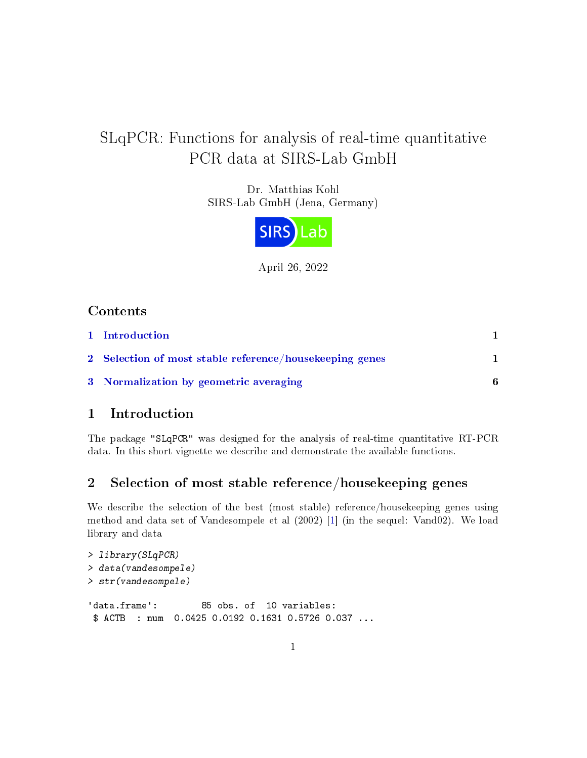# <span id="page-0-2"></span>SLqPCR: Functions for analysis of real-time quantitative PCR data at SIRS-Lab GmbH

Dr. Matthias Kohl SIRS-Lab GmbH (Jena, Germany)



April 26, 2022

## Contents

| 1 Introduction                                          |   |
|---------------------------------------------------------|---|
| 2 Selection of most stable reference/housekeeping genes |   |
| 3 Normalization by geometric averaging                  | 6 |

### <span id="page-0-0"></span>1 Introduction

The package "SLqPCR" was designed for the analysis of real-time quantitative RT-PCR data. In this short vignette we describe and demonstrate the available functions.

## <span id="page-0-1"></span>2 Selection of most stable reference/housekeeping genes

We describe the selection of the best (most stable) reference/housekeeping genes using method and data set of Vandesompele et al (2002) [\[1\]](#page-7-0) (in the sequel: Vand02). We load library and data

```
> library(SLqPCR)
> data(vandesompele)
> str(vandesompele)
'data.frame': 85 obs. of 10 variables:
$ ACTB : num  0.0425 0.0192 0.1631 0.5726 0.037 ...
```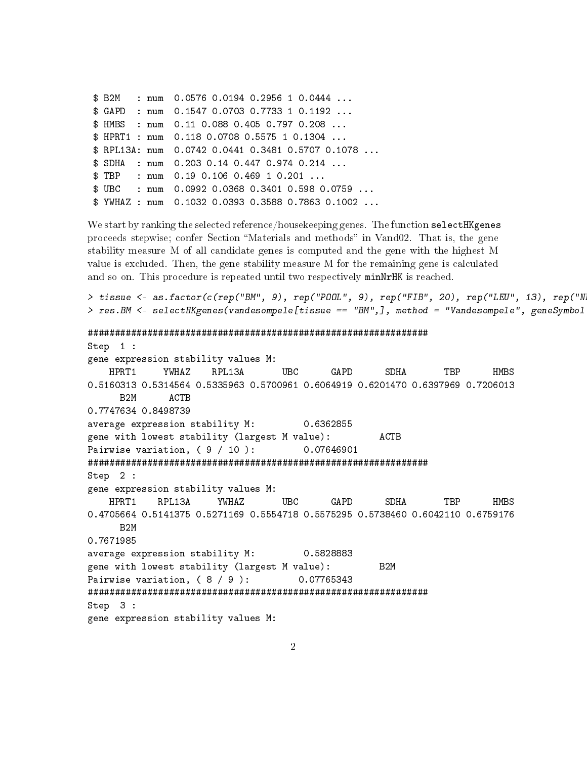|  |  | $$B2M$ : num 0.0576 0.0194 0.2956 1 0.0444             |
|--|--|--------------------------------------------------------|
|  |  | \$ GAPD : num 0.1547 0.0703 0.7733 1 0.1192            |
|  |  | $$HHBS$ : num 0.11 0.088 0.405 0.797 0.208             |
|  |  | \$ HPRT1 : num  0.118  0.0708  0.5575  1  0.1304       |
|  |  | \$ RPL13A: num 0.0742 0.0441 0.3481 0.5707 0.1078      |
|  |  | $$$ SDHA : num 0.203 0.14 0.447 0.974 0.214            |
|  |  | $\text{\$ TBP}$ : num 0.19 0.106 0.469 1 0.201         |
|  |  | $$UBC$ : num 0.0992 0.0368 0.3401 0.598 0.0759         |
|  |  | \$ YWHAZ : num  0.1032  0.0393  0.3588  0.7863  0.1002 |

We start by ranking the selected reference/housekeeping genes. The function selectHKgenes proceeds stepwise; confer Section "Materials and methods" in Vand02. That is, the gene stability measure M of all candidate genes is computed and the gene with the highest M value is excluded. Then, the gene stability measure M for the remaining gene is calculated and so on. This procedure is repeated until two respectively minNrHK is reached.

```
> tissue <- as.factor(c(rep("BM", 9), rep("POOL", 9), rep("FIB", 20), rep("LEU", 13), rep("N
> res.BM \leq selectHKgenes(vandesompele[tissue == "BM",], method = "Vandesompele", geneSymbol
###############################################################
Step 1 :
gene expression stability values M:
    HPRT1 YWHAZ RPL13A UBC GAPD SDHA TBP HMBS
0.5160313 0.5314564 0.5335963 0.5700961 0.6064919 0.6201470 0.6397969 0.7206013
     B2M ACTB
0.7747634 0.8498739
average expression stability M: 0.6362855
gene with lowest stability (largest M value): ACTB
Pairwise variation, (9 / 10 ): 0.07646901
###############################################################
Step 2 :
gene expression stability values M:
    HPRT1 RPL13A YWHAZ UBC GAPD SDHA TBP HMBS
0.4705664 0.5141375 0.5271169 0.5554718 0.5575295 0.5738460 0.6042110 0.6759176
     B2M
0.7671985
average expression stability M: 0.5828883
gene with lowest stability (largest M value): B2M
Pairwise variation, ( 8 / 9 ): 0.07765343
###############################################################
Step 3 :
gene expression stability values M:
```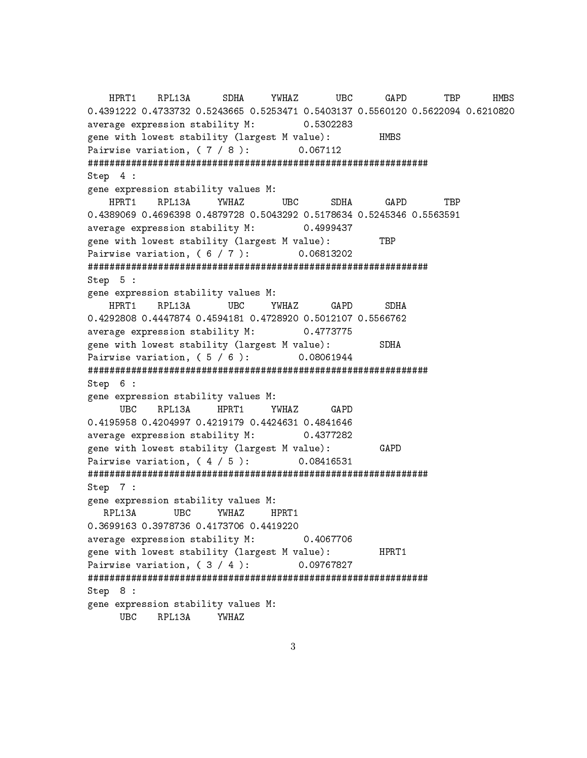HPRT1 RPL13A SDHA YWHAZ UBC GAPD TBP HMBS 0.4391222 0.4733732 0.5243665 0.5253471 0.5403137 0.5560120 0.5622094 0.6210820 average expression stability M: 0.5302283 gene with lowest stability (largest M value): HMBS Pairwise variation, ( 7 / 8 ): 0.067112 ############################################################### Step 4 : gene expression stability values M: HPRT1 RPL13A YWHAZ UBC SDHA GAPD TBP 0.4389069 0.4696398 0.4879728 0.5043292 0.5178634 0.5245346 0.5563591 average expression stability M: 0.4999437 gene with lowest stability (largest M value): TBP Pairwise variation, ( 6 / 7 ): 0.06813202 ############################################################### Step 5 : gene expression stability values M: HPRT1 RPL13A UBC YWHAZ GAPD SDHA 0.4292808 0.4447874 0.4594181 0.4728920 0.5012107 0.5566762 average expression stability M: 0.4773775 gene with lowest stability (largest M value): SDHA Pairwise variation, ( 5 / 6 ): 0.08061944 ############################################################### Step 6 : gene expression stability values M: UBC RPL13A HPRT1 YWHAZ GAPD 0.4195958 0.4204997 0.4219179 0.4424631 0.4841646 average expression stability M: 0.4377282 gene with lowest stability (largest M value): GAPD Pairwise variation, (4 / 5 ): 0.08416531 ############################################################### Step 7 : gene expression stability values M: RPL13A UBC YWHAZ HPRT1 0.3699163 0.3978736 0.4173706 0.4419220 average expression stability M: 0.4067706 gene with lowest stability (largest M value): HPRT1 Pairwise variation, ( 3 / 4 ): 0.09767827 ############################################################### Step 8 : gene expression stability values M: UBC RPL13A YWHAZ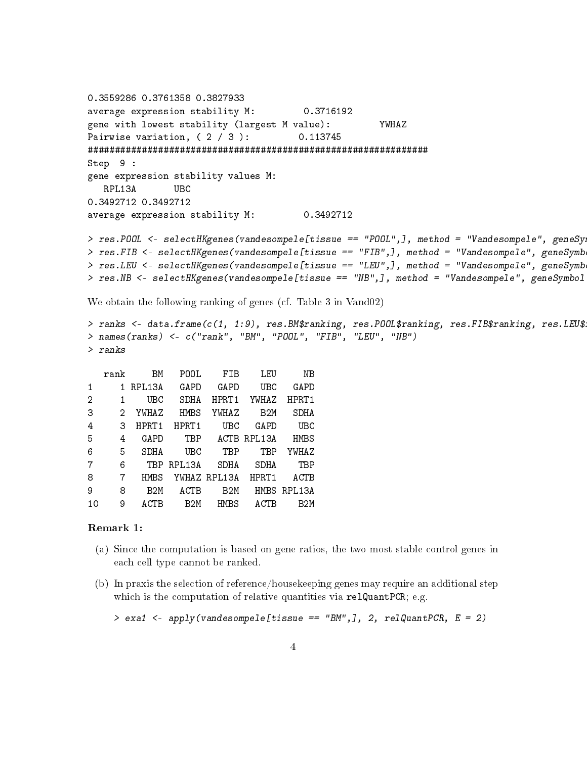```
0.3559286 0.3761358 0.3827933
average expression stability M: 0.3716192
gene with lowest stability (largest M value): YWHAZ
Pairwise variation, ( 2 / 3 ): 0.113745
###############################################################
Step 9 :
gene expression stability values M:
   RPL13A UBC
0.3492712 0.3492712
average expression stability M: 0.3492712
> res.POOL <- selectHKgenes(vandesompele[tissue == "POOL",], method = "Vandesompele", geneSy
> res.FIB <- selectHKgenes(vandesompele[tissue == "FIB",], method = "Vandesompele", geneSymb
```

```
> res.LEU <- selectHKgenes(vandesompele[tissue == "LEU",], method = "Vandesompele", geneSymb
> res.NB <- selectHKgenes(vandesompele[tissue == "NB",], method = "Vandesompele", geneSymbol
```
We obtain the following ranking of genes (cf. Table 3 in Vand02)

```
> ranks <- data.frame(c(1, 1:9), res.BM$ranking, res.POOL$ranking, res.FIB$ranking, res.LEU$
> names(ranks) <- c("rank", "BM", "POOL", "FIB", "LEU", "NB")
> ranks
```

|                | rank | BM              | POOL             | FIB              | LEU              | NΒ               |
|----------------|------|-----------------|------------------|------------------|------------------|------------------|
| 1              | 1.   | RPL13A          | GAPD             | GAPD             | UBC              | GAPD             |
| $\overline{2}$ | 1    | UBC             | SDHA             | HPRT1            | YWHAZ            | HPRT1            |
| З              | 2    | YWHAZ           | <b>HMBS</b>      | YWHAZ            | B <sub>2</sub> M | SDHA             |
| 4              | 3    | HPRT1           | HPRT1            | UBC              | GAPD             | UBC              |
| 5              | 4    | GAPD            | TBP              | ACTB             | RPL13A           | <b>HMBS</b>      |
| 6              | 5    | SDHA            | UBC              | TBP              | TBP              | YWHAZ            |
| 7              | 6    | TBP             | RPL13A           | SDHA             | SDHA             | TBP              |
| 8              | 7    | HMBS            |                  | YWHAZ RPL13A     | HPRT1            | ACTB             |
| 9              | 8    | B <sub>2M</sub> | ACTB             | B <sub>2</sub> M | HMBS             | RPL13A           |
| 10             | 9    | ACTB            | B <sub>2</sub> M | <b>HMBS</b>      | <b>ACTB</b>      | B <sub>2</sub> M |
|                |      |                 |                  |                  |                  |                  |

#### Remark 1:

- (a) Since the computation is based on gene ratios, the two most stable control genes in each cell type cannot be ranked.
- (b) In praxis the selection of reference/housekeeping genes may require an additional step which is the computation of relative quantities via relQuantPCR; e.g.

```
> exa1 \lt- apply(vandesompele[tissue == "BM",], 2, relQuantPCR, E = 2)
```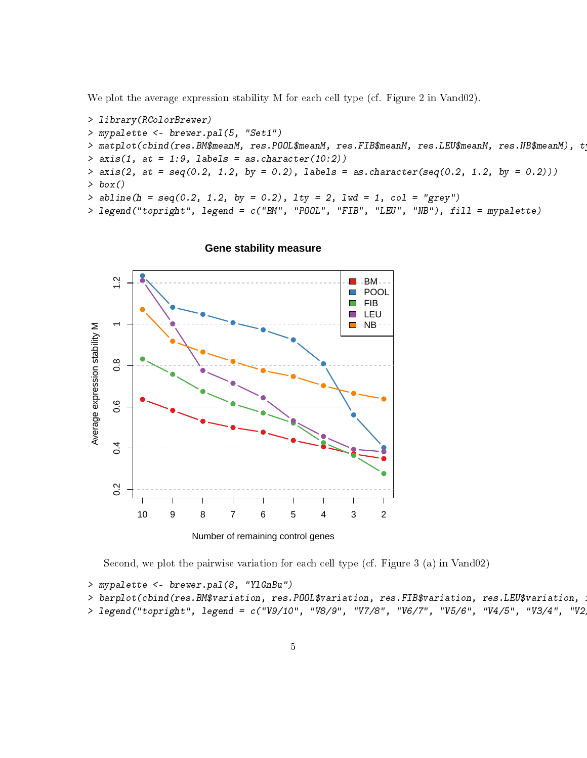We plot the average expression stability M for each cell type (cf. Figure 2 in Vand02).

```
> library(RColorBrewer)
> mypalette <- brewer.pal(5, "Set1")
> matplot(cbind(res.BM$meanM, res.POOL$meanM, res.FIB$meanM, res.LEU$meanM, res.NB$meanM), t
> axis(1, at = 1:9, labels = as.charAt (10:2))> axis(2, at = seq(0.2, 1.2, by = 0.2), labels = as. character(seq(0.2, 1.2, by = 0.2)))> box()> abline(h = seq(0.2, 1.2, by = 0.2), lty = 2, lwd = 1, col = "grey")
> legend("topright", legend = c("BM", "POOL", "FIB", "LEU", "NB"), fill = mypalette)
```


#### **Gene stability measure**

Second, we plot the pairwise variation for each cell type (cf. Figure 3 (a) in Vand02)

```
> mypalette <- brewer.pal(8, "YlGnBu")
```

```
> barplot(cbind(res.BM$variation, res.POOL$variation, res.FIB$variation, res.LEU$variation, .
```

```
> legend("topright", legend = c("V9/10", "V8/9", "V7/8", "V6/7", "V5/6", "V4/5", "V3/4", "V2
```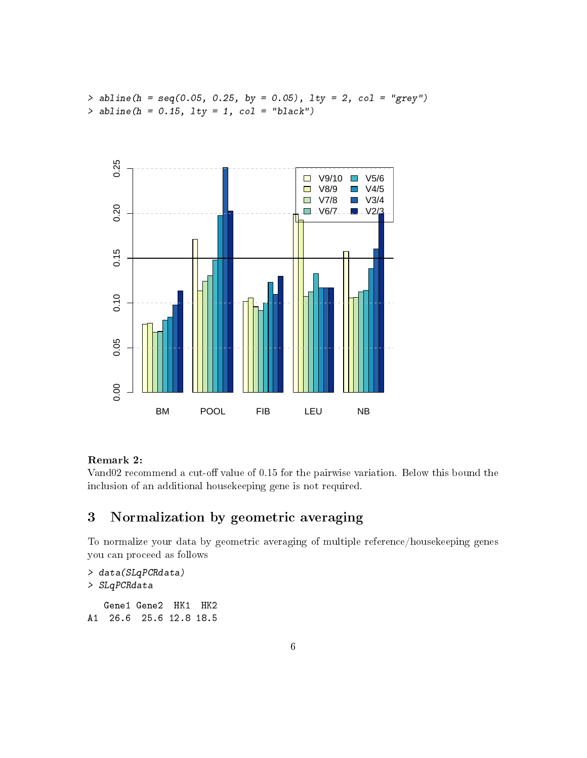$>$  abline(h = seq(0.05, 0.25, by = 0.05), lty = 2, col = "grey")  $>$  abline(h = 0.15, lty = 1, col = "black")



#### Remark 2:

Vand02 recommend a cut-off value of 0.15 for the pairwise variation. Below this bound the inclusion of an additional housekeeping gene is not required.

# <span id="page-5-0"></span>3 Normalization by geometric averaging

To normalize your data by geometric averaging of multiple reference/housekeeping genes you can proceed as follows

```
> data(SLqPCRdata)
> SLqPCRdata
   Gene1 Gene2 HK1 HK2
A1 26.6 25.6 12.8 18.5
```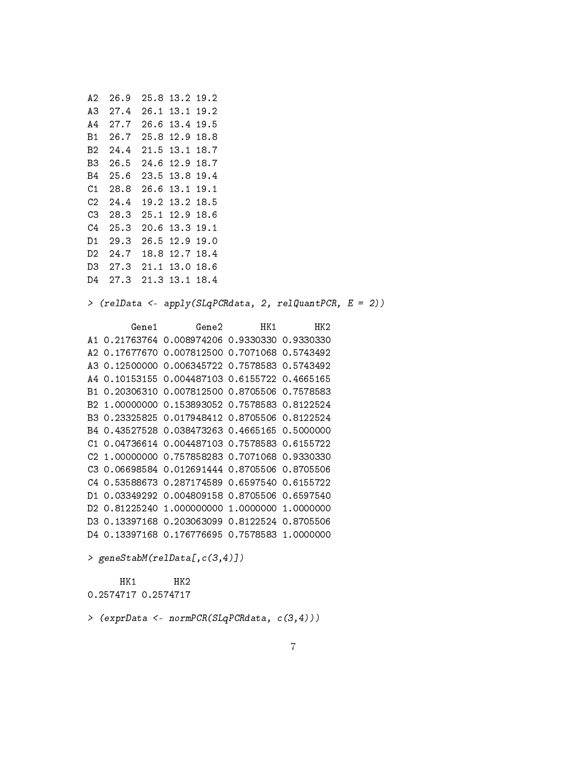A2 26.9 25.8 13.2 19.2 A3 27.4 26.1 13.1 19.2 A4 27.7 26.6 13.4 19.5 B1 26.7 25.8 12.9 18.8 B2 24.4 21.5 13.1 18.7 B3 26.5 24.6 12.9 18.7 B4 25.6 23.5 13.8 19.4 C1 28.8 26.6 13.1 19.1 C2 24.4 19.2 13.2 18.5 C3 28.3 25.1 12.9 18.6 C4 25.3 20.6 13.3 19.1 D1 29.3 26.5 12.9 19.0 D2 24.7 18.8 12.7 18.4 D3 27.3 21.1 13.0 18.6 D4 27.3 21.3 13.1 18.4

> (relData <- apply(SLqPCRdata, 2, relQuantPCR, E = 2))

Gene1 Gene2 HK1 HK2 A1 0.21763764 0.008974206 0.9330330 0.9330330 A2 0.17677670 0.007812500 0.7071068 0.5743492 A3 0.12500000 0.006345722 0.7578583 0.5743492 A4 0.10153155 0.004487103 0.6155722 0.4665165 B1 0.20306310 0.007812500 0.8705506 0.7578583 B2 1.00000000 0.153893052 0.7578583 0.8122524 B3 0.23325825 0.017948412 0.8705506 0.8122524 B4 0.43527528 0.038473263 0.4665165 0.5000000 C1 0.04736614 0.004487103 0.7578583 0.6155722 C2 1.00000000 0.757858283 0.7071068 0.9330330 C3 0.06698584 0.012691444 0.8705506 0.8705506 C4 0.53588673 0.287174589 0.6597540 0.6155722 D1 0.03349292 0.004809158 0.8705506 0.6597540 D2 0.81225240 1.000000000 1.0000000 1.0000000 D3 0.13397168 0.203063099 0.8122524 0.8705506 D4 0.13397168 0.176776695 0.7578583 1.0000000

```
> geneStabM(relData[,c(3,4)])
```
HK1 HK2 0.2574717 0.2574717

> (exprData <- normPCR(SLqPCRdata, c(3,4)))